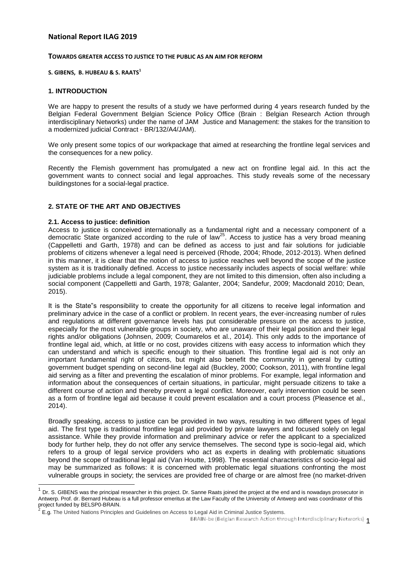## **National Report ILAG 2019**

#### **TOWARDS GREATER ACCESS TO JUSTICE TO THE PUBLIC AS AN AIM FOR REFORM**

#### **S. GIBENS, B. HUBEAU & S. RAATS<sup>1</sup>**

#### **1. INTRODUCTION**

We are happy to present the results of a study we have performed during 4 years research funded by the Belgian Federal Government Belgian Science Policy Office (Brain : Belgian Research Action through interdisciplinary Networks) under the name of JAM Justice and Management: the stakes for the transition to a modernized judicial Contract - BR/132/A4/JAM).

We only present some topics of our workpackage that aimed at researching the frontline legal services and the consequences for a new policy.

Recently the Flemish government has promulgated a new act on frontline legal aid. In this act the government wants to connect social and legal approaches. This study reveals some of the necessary buildingstones for a social-legal practice.

## **2. STATE OF THE ART AND OBJECTIVES**

#### **2.1. Access to justice: definition**

 $\overline{1}$ 

Access to justice is conceived internationally as a fundamental right and a necessary component of a democratic State organized according to the rule of law<sup>25</sup>. Access to justice has a very broad meaning (Cappelletti and Garth, 1978) and can be defined as access to just and fair solutions for judiciable problems of citizens whenever a legal need is perceived (Rhode, 2004; Rhode, 2012-2013). When defined in this manner, it is clear that the notion of access to justice reaches well beyond the scope of the justice system as it is traditionally defined. Access to justice necessarily includes aspects of social welfare: while judiciable problems include a legal component, they are not limited to this dimension, often also including a social component (Cappelletti and Garth, 1978; Galanter, 2004; Sandefur, 2009; Macdonald 2010; Dean, 2015).

It is the State"s responsibility to create the opportunity for all citizens to receive legal information and preliminary advice in the case of a conflict or problem. In recent years, the ever-increasing number of rules and regulations at different governance levels has put considerable pressure on the access to justice, especially for the most vulnerable groups in society, who are unaware of their legal position and their legal rights and/or obligations (Johnsen, 2009; Coumarelos et al., 2014). This only adds to the importance of frontline legal aid, which, at little or no cost, provides citizens with easy access to information which they can understand and which is specific enough to their situation. This frontline legal aid is not only an important fundamental right of citizens, but might also benefit the community in general by cutting government budget spending on second-line legal aid (Buckley, 2000; Cookson, 2011), with frontline legal aid serving as a filter and preventing the escalation of minor problems. For example, legal information and information about the consequences of certain situations, in particular, might persuade citizens to take a different course of action and thereby prevent a legal conflict. Moreover, early intervention could be seen as a form of frontline legal aid because it could prevent escalation and a court process (Pleasence et al., 2014).

Broadly speaking, access to justice can be provided in two ways, resulting in two different types of legal aid. The first type is traditional frontline legal aid provided by private lawyers and focused solely on legal assistance. While they provide information and preliminary advice or refer the applicant to a specialized body for further help, they do not offer any service themselves. The second type is socio-legal aid, which refers to a group of legal service providers who act as experts in dealing with problematic situations beyond the scope of traditional legal aid (Van Houtte, 1998). The essential characteristics of socio-legal aid may be summarized as follows: it is concerned with problematic legal situations confronting the most vulnerable groups in society; the services are provided free of charge or are almost free (no market-driven

<sup>1</sup> Dr. S. GIBENS was the principal researcher in this project. Dr. Sanne Raats joined the project at the end and is nowadays prosecutor in Antwerp. Prof. dr. Bernard Hubeau is a full professor emeritus at the Law Faculty of the University of Antwerp and was coordinator of this project funded by BELSP0-BRAIN.<br><sup>2</sup> E a The United Nationa Principles

E.g. The United Nations Principles and Guidelines on Access to Legal Aid in Criminal Justice Systems.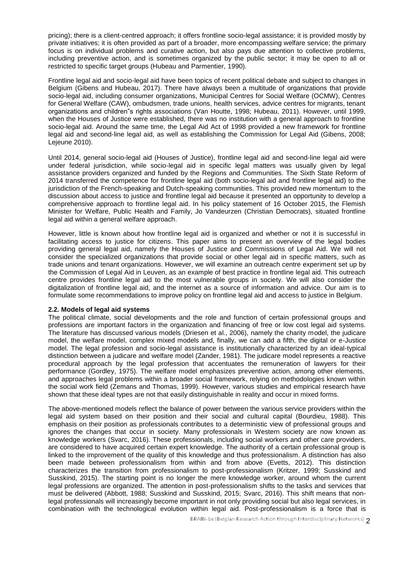pricing); there is a client-centred approach; it offers frontline socio-legal assistance; it is provided mostly by private initiatives; it is often provided as part of a broader, more encompassing welfare service; the primary focus is on individual problems and curative action, but also pays due attention to collective problems, including preventive action, and is sometimes organized by the public sector; it may be open to all or restricted to specific target groups (Hubeau and Parmentier, 1990).

Frontline legal aid and socio-legal aid have been topics of recent political debate and subject to changes in Belgium (Gibens and Hubeau, 2017). There have always been a multitude of organizations that provide socio-legal aid, including consumer organizations, Municipal Centres for Social Welfare (OCMW), Centres for General Welfare (CAW), ombudsmen, trade unions, health services, advice centres for migrants, tenant organizations and children"s rights associations (Van Houtte, 1998; Hubeau, 2011). However, until 1999, when the Houses of Justice were established, there was no institution with a general approach to frontline socio-legal aid. Around the same time, the Legal Aid Act of 1998 provided a new framework for frontline legal aid and second-line legal aid, as well as establishing the Commission for Legal Aid (Gibens, 2008; Lejeune 2010).

Until 2014, general socio-legal aid (Houses of Justice), frontline legal aid and second-line legal aid were under federal jurisdiction, while socio-legal aid in specific legal matters was usually given by legal assistance providers organized and funded by the Regions and Communities. The Sixth State Reform of 2014 transferred the competence for frontline legal aid (both socio-legal aid and frontline legal aid) to the jurisdiction of the French-speaking and Dutch-speaking communities. This provided new momentum to the discussion about access to justice and frontline legal aid because it presented an opportunity to develop a comprehensive approach to frontline legal aid. In his policy statement of 16 October 2015, the Flemish Minister for Welfare, Public Health and Family, Jo Vandeurzen (Christian Democrats), situated frontline legal aid within a general welfare approach.

However, little is known about how frontline legal aid is organized and whether or not it is successful in facilitating access to justice for citizens. This paper aims to present an overview of the legal bodies providing general legal aid, namely the Houses of Justice and Commissions of Legal Aid. We will not consider the specialized organizations that provide social or other legal aid in specific matters, such as trade unions and tenant organizations. However, we will examine an outreach centre experiment set up by the Commission of Legal Aid in Leuven, as an example of best practice in frontline legal aid. This outreach centre provides frontline legal aid to the most vulnerable groups in society. We will also consider the digitalization of frontline legal aid, and the internet as a source of information and advice. Our aim is to formulate some recommendations to improve policy on frontline legal aid and access to justice in Belgium.

### **2.2. Models of legal aid systems**

The political climate, social developments and the role and function of certain professional groups and professions are important factors in the organization and financing of free or low cost legal aid systems. The literature has discussed various models (Driesen et al., 2006), namely the charity model, the judicare model, the welfare model, complex mixed models and, finally, we can add a fifth, the digital or e-Justice model. The legal profession and socio-legal assistance is institutionally characterized by an ideal-typical distinction between a judicare and welfare model (Zander, 1981). The judicare model represents a reactive procedural approach by the legal profession that accentuates the remuneration of lawyers for their performance (Gordley, 1975). The welfare model emphasizes preventive action, among other elements, and approaches legal problems within a broader social framework, relying on methodologies known within the social work field (Zemans and Thomas, 1999). However, various studies and empirical research have shown that these ideal types are not that easily distinguishable in reality and occur in mixed forms.

The above-mentioned models reflect the balance of power between the various service providers within the legal aid system based on their position and their social and cultural capital (Bourdieu, 1988). This emphasis on their position as professionals contributes to a deterministic view of professional groups and ignores the changes that occur in society. Many professionals in Western society are now known as knowledge workers (Svarc, 2016). These professionals, including social workers and other care providers, are considered to have acquired certain expert knowledge. The authority of a certain professional group is linked to the improvement of the quality of this knowledge and thus professionalism. A distinction has also been made between professionalism from within and from above (Evetts, 2012). This distinction characterizes the transition from professionalism to post-professionalism (Kritzer, 1999; Susskind and Susskind, 2015). The starting point is no longer the mere knowledge worker, around whom the current legal professions are organized. The attention in post-professionalism shifts to the tasks and services that must be delivered (Abbott, 1988; Susskind and Susskind, 2015; Svarc, 2016). This shift means that nonlegal professionals will increasingly become important in not only providing social but also legal services, in combination with the technological evolution within legal aid. Post-professionalism is a force that is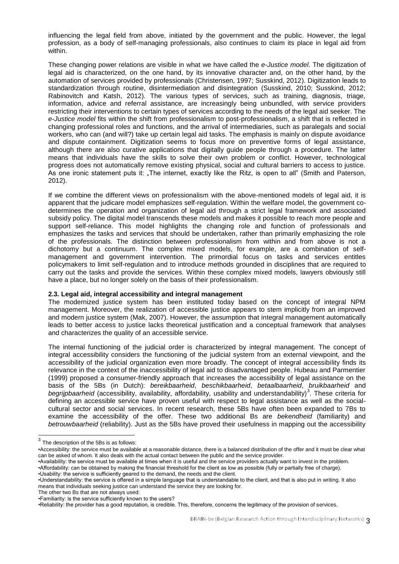influencing the legal field from above, initiated by the government and the public. However, the legal profession, as a body of self-managing professionals, also continues to claim its place in legal aid from within.

These changing power relations are visible in what we have called the *e-Justice model*. The digitization of legal aid is characterized, on the one hand, by its innovative character and, on the other hand, by the automation of services provided by professionals (Christensen, 1997; Susskind, 2012). Digitization leads to standardization through routine, disintermediation and disintegration (Susskind, 2010; Susskind, 2012; Rabinovitch and Katsh, 2012). The various types of services, such as training, diagnosis, triage, information, advice and referral assistance, are increasingly being unbundled, with service providers restricting their interventions to certain types of services according to the needs of the legal aid seeker. The *e-Justice model* fits within the shift from professionalism to post-professionalism, a shift that is reflected in changing professional roles and functions, and the arrival of intermediaries, such as paralegals and social workers, who can (and will?) take up certain legal aid tasks. The emphasis is mainly on dispute avoidance and dispute containment. Digitization seems to focus more on preventive forms of legal assistance, although there are also curative applications that digitally guide people through a procedure. The latter means that individuals have the skills to solve their own problem or conflict. However, technological progress does not automatically remove existing physical, social and cultural barriers to access to justice. As one ironic statement puts it: "The internet, exactly like the Ritz, is open to all" (Smith and Paterson, 2012).

If we combine the different views on professionalism with the above-mentioned models of legal aid, it is apparent that the judicare model emphasizes self-regulation. Within the welfare model, the government codetermines the operation and organization of legal aid through a strict legal framework and associated subsidy policy. The digital model transcends these models and makes it possible to reach more people and support self-reliance. This model highlights the changing role and function of professionals and emphasizes the tasks and services that should be undertaken, rather than primarily emphasizing the role of the professionals. The distinction between professionalism from within and from above is not a dichotomy but a continuum. The complex mixed models, for example, are a combination of selfmanagement and government intervention. The primordial focus on tasks and services entitles policymakers to limit self-regulation and to introduce methods grounded in disciplines that are required to carry out the tasks and provide the services. Within these complex mixed models, lawyers obviously still have a place, but no longer solely on the basis of their professionalism.

### **2.3. Legal aid, integral accessibility and integral management**

The modernized justice system has been instituted today based on the concept of integral NPM management. Moreover, the realization of accessible justice appears to stem implicitly from an improved and modern justice system (Mak, 2007). However, the assumption that integral management automatically leads to better access to justice lacks theoretical justification and a conceptual framework that analyses and characterizes the quality of an accessible service.

The internal functioning of the judicial order is characterized by integral management. The concept of integral accessibility considers the functioning of the judicial system from an external viewpoint, and the accessibility of the judicial organization even more broadly. The concept of integral accessibility finds its relevance in the context of the inaccessibility of legal aid to disadvantaged people. Hubeau and Parmentier (1999) proposed a consumer-friendly approach that increases the accessibility of legal assistance on the basis of the 5Bs (in Dutch): *bereikbaarheid*, *beschikbaarheid*, *betaalbaarheid*, *bruikbaarheid* and begrijpbaarheid (accessibility, availability, affordability, usability and understandability)<sup>3</sup>. These criteria for defining an accessible service have proven useful with respect to legal assistance as well as the socialcultural sector and social services. In recent research, these 5Bs have often been expanded to 7Bs to examine the accessibility of the offer. These two additional Bs are *bekendheid* (familiarity) and *betrouwbaarheid* (reliability). Just as the 5Bs have proved their usefulness in mapping out the accessibility

•Accessibility: the service must be available at a reasonable distance, there is a balanced distribution of the offer and it must be clear what can be asked of whom. It also deals with the actual contact between the public and the service provider.

•Availability: the service must be available at times when it is useful and the service providers actually want to invest in the problem. •Affordability: can be obtained by making the financial threshold for the client as low as possible (fully or partially free of charge).

•Usability: the service is sufficiently geared to the demand, the needs and the client.

The other two Bs that are not always used:

 3 The description of the 5Bs is as follows:

<sup>•</sup>Understandability: the service is offered in a simple language that is understandable to the client, and that is also put in writing. It also means that individuals seeking justice can understand the service they are looking for.

<sup>•</sup>Familiarity: is the service sufficiently known to the users?

<sup>•</sup>Reliability: the provider has a good reputation, is credible. This, therefore, concerns the legitimacy of the provision of services.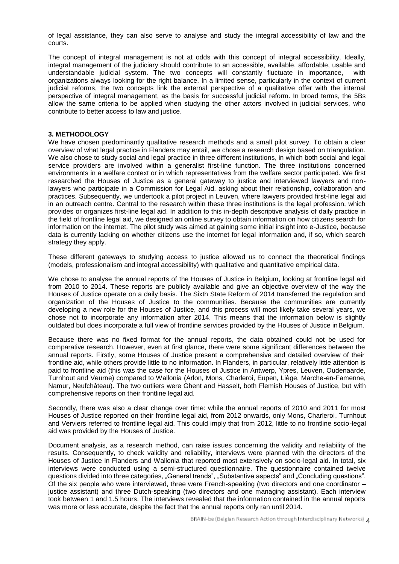of legal assistance, they can also serve to analyse and study the integral accessibility of law and the courts.

The concept of integral management is not at odds with this concept of integral accessibility. Ideally, integral management of the judiciary should contribute to an accessible, available, affordable, usable and understandable judicial system. The two concepts will constantly fluctuate in importance, with organizations always looking for the right balance. In a limited sense, particularly in the context of current judicial reforms, the two concepts link the external perspective of a qualitative offer with the internal perspective of integral management, as the basis for successful judicial reform. In broad terms, the 5Bs allow the same criteria to be applied when studying the other actors involved in judicial services, who contribute to better access to law and justice.

#### **3. METHODOLOGY**

We have chosen predominantly qualitative research methods and a small pilot survey. To obtain a clear overview of what legal practice in Flanders may entail, we chose a research design based on triangulation. We also chose to study social and legal practice in three different institutions, in which both social and legal service providers are involved within a generalist first-line function. The three institutions concerned environments in a welfare context or in which representatives from the welfare sector participated. We first researched the Houses of Justice as a general gateway to justice and interviewed lawyers and nonlawyers who participate in a Commission for Legal Aid, asking about their relationship, collaboration and practices. Subsequently, we undertook a pilot project in Leuven, where lawyers provided first-line legal aid in an outreach centre. Central to the research within these three institutions is the legal profession, which provides or organizes first-line legal aid. In addition to this in-depth descriptive analysis of daily practice in the field of frontline legal aid, we designed an online survey to obtain information on how citizens search for information on the internet. The pilot study was aimed at gaining some initial insight into e-Justice, because data is currently lacking on whether citizens use the internet for legal information and, if so, which search strategy they apply.

These different gateways to studying access to justice allowed us to connect the theoretical findings (models, professionalism and integral accessibility) with qualitative and quantitative empirical data.

We chose to analyse the annual reports of the Houses of Justice in Belgium, looking at frontline legal aid from 2010 to 2014. These reports are publicly available and give an objective overview of the way the Houses of Justice operate on a daily basis. The Sixth State Reform of 2014 transferred the regulation and organization of the Houses of Justice to the communities. Because the communities are currently developing a new role for the Houses of Justice, and this process will most likely take several years, we chose not to incorporate any information after 2014. This means that the information below is slightly outdated but does incorporate a full view of frontline services provided by the Houses of Justice inBelgium.

Because there was no fixed format for the annual reports, the data obtained could not be used for comparative research. However, even at first glance, there were some significant differences between the annual reports. Firstly, some Houses of Justice present a comprehensive and detailed overview of their frontline aid, while others provide little to no information. In Flanders, in particular, relatively little attention is paid to frontline aid (this was the case for the Houses of Justice in Antwerp, Ypres, Leuven, Oudenaarde, Turnhout and Veurne) compared to Wallonia (Arlon, Mons, Charleroi, Eupen, Liège, Marche-en-Famenne, Namur, Neufchâteau). The two outliers were Ghent and Hasselt, both Flemish Houses of Justice, but with comprehensive reports on their frontline legal aid.

Secondly, there was also a clear change over time: while the annual reports of 2010 and 2011 for most Houses of Justice reported on their frontline legal aid, from 2012 onwards, only Mons, Charleroi, Turnhout and Verviers referred to frontline legal aid. This could imply that from 2012, little to no frontline socio-legal aid was provided by the Houses of Justice.

Document analysis, as a research method, can raise issues concerning the validity and reliability of the results. Consequently, to check validity and reliability, interviews were planned with the directors of the Houses of Justice in Flanders and Wallonia that reported most extensively on socio-legal aid. In total, six interviews were conducted using a semi-structured questionnaire. The questionnaire contained twelve questions divided into three categories, "General trends", "Substantive aspects" and "Concluding questions". Of the six people who were interviewed, three were French-speaking (two directors and one coordinator – justice assistant) and three Dutch-speaking (two directors and one managing assistant). Each interview took between 1 and 1.5 hours. The interviews revealed that the information contained in the annual reports was more or less accurate, despite the fact that the annual reports only ran until 2014.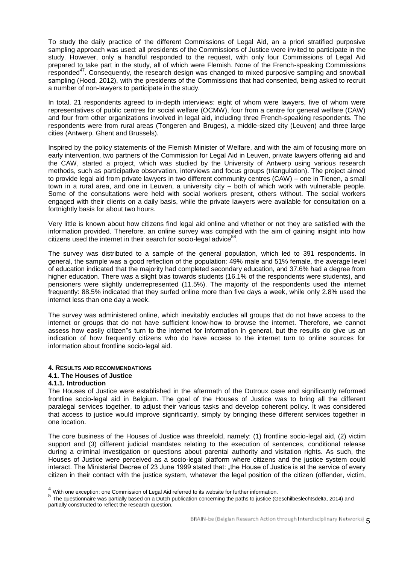To study the daily practice of the different Commissions of Legal Aid, an a priori stratified purposive sampling approach was used: all presidents of the Commissions of Justice were invited to participate in the study. However, only a handful responded to the request, with only four Commissions of Legal Aid prepared to take part in the study, all of which were Flemish. None of the French-speaking Commissions responded<sup>47</sup>. Consequently, the research design was changed to mixed purposive sampling and snowball sampling (Hood, 2012), with the presidents of the Commissions that had consented, being asked to recruit a number of non-lawyers to participate in the study.

In total, 21 respondents agreed to in-depth interviews: eight of whom were lawyers, five of whom were representatives of public centres for social welfare (OCMW), four from a centre for general welfare (CAW) and four from other organizations involved in legal aid, including three French-speaking respondents. The respondents were from rural areas (Tongeren and Bruges), a middle-sized city (Leuven) and three large cities (Antwerp, Ghent and Brussels).

Inspired by the policy statements of the Flemish Minister of Welfare, and with the aim of focusing more on early intervention, two partners of the Commission for Legal Aid in Leuven, private lawyers offering aid and the CAW, started a project, which was studied by the University of Antwerp using various research methods, such as participative observation, interviews and focus groups (triangulation). The project aimed to provide legal aid from private lawyers in two different community centres (CAW) – one in Tienen, a small town in a rural area, and one in Leuven, a university city – both of which work with vulnerable people. Some of the consultations were held with social workers present, others without. The social workers engaged with their clients on a daily basis, while the private lawyers were available for consultation on a fortnightly basis for about two hours.

Very little is known about how citizens find legal aid online and whether or not they are satisfied with the information provided. Therefore, an online survey was compiled with the aim of gaining insight into how citizens used the internet in their search for socio-legal advice<sup>58</sup>.

The survey was distributed to a sample of the general population, which led to 391 respondents. In general, the sample was a good reflection of the population: 49% male and 51% female, the average level of education indicated that the majority had completed secondary education, and 37.6% had a degree from higher education. There was a slight bias towards students (16.1% of the respondents were students), and pensioners were slightly underrepresented (11.5%). The majority of the respondents used the internet frequently: 88.5% indicated that they surfed online more than five days a week, while only 2.8% used the internet less than one day a week.

The survey was administered online, which inevitably excludes all groups that do not have access to the internet or groups that do not have sufficient know-how to browse the internet. Therefore, we cannot assess how easily citizen"s turn to the internet for information in general, but the results do give us an indication of how frequently citizens who do have access to the internet turn to online sources for information about frontline socio-legal aid.

### **4. RESULTS AND RECOMMENDATIONS**

# **4.1. The Houses of Justice**

### **4.1.1. Introduction**

-

The Houses of Justice were established in the aftermath of the Dutroux case and significantly reformed frontline socio-legal aid in Belgium. The goal of the Houses of Justice was to bring all the different paralegal services together, to adjust their various tasks and develop coherent policy. It was considered that access to justice would improve significantly, simply by bringing these different services together in one location.

The core business of the Houses of Justice was threefold, namely: (1) frontline socio-legal aid, (2) victim support and (3) different judicial mandates relating to the execution of sentences, conditional release during a criminal investigation or questions about parental authority and visitation rights. As such, the Houses of Justice were perceived as a socio-legal platform where citizens and the justice system could interact. The Ministerial Decree of 23 June 1999 stated that: "the House of Justice is at the service of every citizen in their contact with the justice system, whatever the legal position of the citizen (offender, victim,

 $<sup>4</sup>$  With one exception: one Commission of Legal Aid referred to its website for further information.</sup>

<sup>5</sup> The questionnaire was partially based on a Dutch publication concerning the paths to justice (Geschilbeslechtsdelta, 2014) and partially constructed to reflect the research question.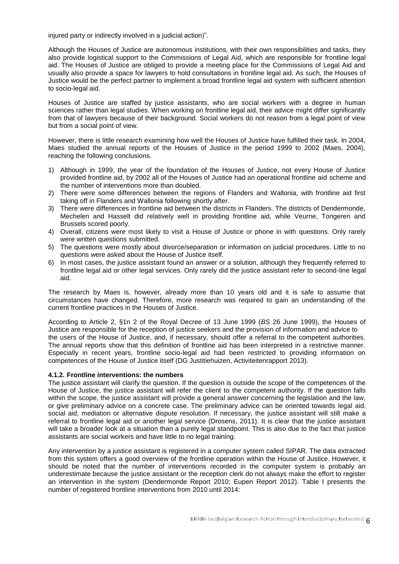injured party or indirectly involved in a judicial action)".

Although the Houses of Justice are autonomous institutions, with their own responsibilities and tasks, they also provide logistical support to the Commissions of Legal Aid, which are responsible for frontline legal aid. The Houses of Justice are obliged to provide a meeting place for the Commissions of Legal Aid and usually also provide a space for lawyers to hold consultations in frontline legal aid. As such, the Houses of Justice would be the perfect partner to implement a broad frontline legal aid system with sufficient attention to socio-legal aid.

Houses of Justice are staffed by justice assistants, who are social workers with a degree in human sciences rather than legal studies. When working on frontline legal aid, their advice might differ significantly from that of lawyers because of their background. Social workers do not reason from a legal point of view but from a social point of view.

However, there is little research examining how well the Houses of Justice have fulfilled their task. In 2004, Maes studied the annual reports of the Houses of Justice in the period 1999 to 2002 (Maes, 2004), reaching the following conclusions.

- 1) Although in 1999, the year of the foundation of the Houses of Justice, not every House of Justice provided frontline aid, by 2002 all of the Houses of Justice had an operational frontline aid scheme and the number of interventions more than doubled.
- 2) There were some differences between the regions of Flanders and Wallonia, with frontline aid first taking off in Flanders and Wallonia following shortly after.
- 3) There were differences in frontline aid between the districts in Flanders. The districts of Dendermonde, Mechelen and Hasselt did relatively well in providing frontline aid, while Veurne, Tongeren and Brussels scored poorly.
- 4) Overall, citizens were most likely to visit a House of Justice or phone in with questions. Only rarely were written questions submitted.
- 5) The questions were mostly about divorce/separation or information on judicial procedures. Little to no questions were asked about the House of Justice itself.
- 6) In most cases, the justice assistant found an answer or a solution, although they frequently referred to frontline legal aid or other legal services. Only rarely did the justice assistant refer to second-line legal aid.

The research by Maes is, however, already more than 10 years old and it is safe to assume that circumstances have changed. Therefore, more research was required to gain an understanding of the current frontline practices in the Houses of Justice.

According to Article 2, §1n 2 of the Royal Decree of 13 June 1999 (*BS* 26 June 1999), the Houses of Justice are responsible for the reception of justice seekers and the provision of information and advice to the users of the House of Justice, and, if necessary, should offer a referral to the competent authorities. The annual reports show that this definition of frontline aid has been interpreted in a restrictive manner. Especially in recent years, frontline socio-legal aid had been restricted to providing information on competences of the House of Justice itself (DG Justitiehuizen, Activiteitenrapport 2013).

### **4.1.2. Frontline interventions: the numbers**

The justice assistant will clarify the question. If the question is outside the scope of the competences of the House of Justice, the justice assistant will refer the client to the competent authority. If the question falls within the scope, the justice assistant will provide a general answer concerning the legislation and the law, or give preliminary advice on a concrete case. The preliminary advice can be oriented towards legal aid, social aid, mediation or alternative dispute resolution. If necessary, the justice assistant will still make a referral to frontline legal aid or another legal service (Drosens, 2011). It is clear that the justice assistant will take a broader look at a situation than a purely legal standpoint. This is also due to the fact that justice assistants are social workers and have little to no legal training.

Any intervention by a justice assistant is registered in a computer system called SIPAR. The data extracted from this system offers a good overview of the frontline operation within the House of Justice. However, it should be noted that the number of interventions recorded in the computer system is probably an underestimate because the justice assistant or the reception clerk do not always make the effort to register an intervention in the system (Dendermonde Report 2010; Eupen Report 2012). Table I presents the number of registered frontline interventions from 2010 until 2014: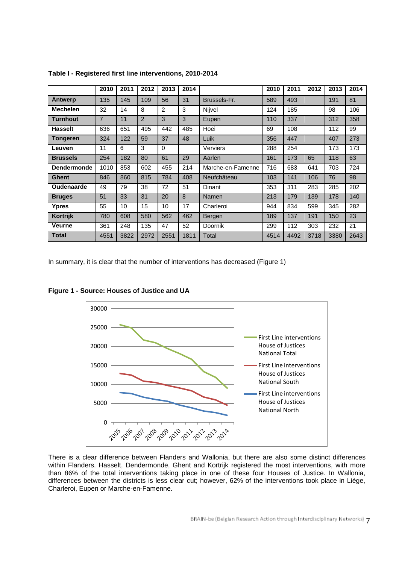|                    | 2010           | 2011 | 2012           | 2013 | 2014 |                   | 2010 | 2011 | 2012 | 2013 | 2014 |
|--------------------|----------------|------|----------------|------|------|-------------------|------|------|------|------|------|
| <b>Antwerp</b>     | 135            | 145  | 109            | 56   | 31   | Brussels-Fr.      | 589  | 493  |      | 191  | 81   |
| <b>Mechelen</b>    | 32             | 14   | 8              | 2    | 3    | Nijvel            | 124  | 185  |      | 98   | 106  |
| Turnhout           | $\overline{7}$ | 11   | $\overline{2}$ | 3    | 3    | Eupen             | 110  | 337  |      | 312  | 358  |
| <b>Hasselt</b>     | 636            | 651  | 495            | 442  | 485  | Hoei              | 69   | 108  |      | 112  | 99   |
| Tongeren           | 324            | 122  | 59             | 37   | 48   | Luik              | 356  | 447  |      | 407  | 273  |
| Leuven             | 11             | 6    | 3              | 0    |      | Verviers          | 288  | 254  |      | 173  | 173  |
| <b>Brussels</b>    | 254            | 182  | 80             | 61   | 29   | Aarlen            | 161  | 173  | 65   | 118  | 63   |
| <b>Dendermonde</b> | 1010           | 853  | 602            | 455  | 214  | Marche-en-Famenne | 716  | 683  | 641  | 703  | 724  |
| <b>Ghent</b>       | 846            | 860  | 815            | 784  | 408  | Neufchâteau       | 103  | 141  | 106  | 76   | 98   |
| <b>Oudenaarde</b>  | 49             | 79   | 38             | 72   | 51   | <b>Dinant</b>     | 353  | 311  | 283  | 285  | 202  |
| <b>Bruges</b>      | 51             | 33   | 31             | 20   | 8    | Namen             | 213  | 179  | 139  | 178  | 140  |
| Ypres              | 55             | 10   | 15             | 10   | 17   | Charleroi         | 944  | 834  | 599  | 345  | 282  |
| Kortrijk           | 780            | 608  | 580            | 562  | 462  | Bergen            | 189  | 137  | 191  | 150  | 23   |
| <b>Veurne</b>      | 361            | 248  | 135            | 47   | 52   | Doornik           | 299  | 112  | 303  | 232  | 21   |
| Total              | 4551           | 3822 | 2972           | 2551 | 1811 | Total             | 4514 | 4492 | 3718 | 3380 | 2643 |

**Table I - Registered first line interventions, 2010-2014**

In summary, it is clear that the number of interventions has decreased (Figure 1)



**Figure 1 - Source: Houses of Justice and UA**

There is a clear difference between Flanders and Wallonia, but there are also some distinct differences within Flanders. Hasselt, Dendermonde, Ghent and Kortrijk registered the most interventions, with more than 86% of the total interventions taking place in one of these four Houses of Justice. In Wallonia, differences between the districts is less clear cut; however, 62% of the interventions took place in Liège, Charleroi, Eupen or Marche-en-Famenne.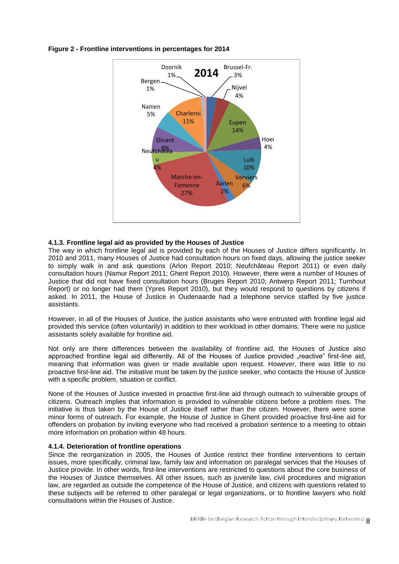

**Figure 2 - Frontline interventions in percentages for 2014**

### **4.1.3. Frontline legal aid as provided by the Houses of Justice**

The way in which frontline legal aid is provided by each of the Houses of Justice differs significantly. In 2010 and 2011, many Houses of Justice had consultation hours on fixed days, allowing the justice seeker to simply walk in and ask questions (Arlon Report 2010; Neufchâteau Report 2011) or even daily consultation hours (Namur Report 2011; Ghent Report 2010). However, there were a number of Houses of Justice that did not have fixed consultation hours (Bruges Report 2010; Antwerp Report 2011; Turnhout Report) or no longer had them (Ypres Report 2010), but they would respond to questions by citizens if asked. In 2011, the House of Justice in Oudenaarde had a telephone service staffed by five justice assistants.

However, in all of the Houses of Justice, the justice assistants who were entrusted with frontline legal aid provided this service (often voluntarily) in addition to their workload in other domains. There were no justice assistants solely available for frontline aid.

Not only are there differences between the availability of frontline aid, the Houses of Justice also approached frontline legal aid differently. All of the Houses of Justice provided "reactive" first-line aid, meaning that information was given or made available upon request. However, there was little to no proactive first-line aid. The initiative must be taken by the justice seeker, who contacts the House of Justice with a specific problem, situation or conflict.

None of the Houses of Justice invested in proactive first-line aid through outreach to vulnerable groups of citizens. Outreach implies that information is provided to vulnerable citizens before a problem rises. The initiative is thus taken by the House of Justice itself rather than the citizen. However, there were some minor forms of outreach. For example, the House of Justice in Ghent provided proactive first-line aid for offenders on probation by inviting everyone who had received a probation sentence to a meeting to obtain more information on probation within 48 hours.

### **4.1.4. Deterioration of frontline operations**

Since the reorganization in 2005, the Houses of Justice restrict their frontline interventions to certain issues, more specifically, criminal law, family law and information on paralegal services that the Houses of Justice provide. In other words, first-line interventions are restricted to questions about the core business of the Houses of Justice themselves. All other issues, such as juvenile law, civil procedures and migration law, are regarded as outside the competence of the House of Justice, and citizens with questions related to these subjects will be referred to other paralegal or legal organizations, or to frontline lawyers who hold consultations within the Houses of Justice.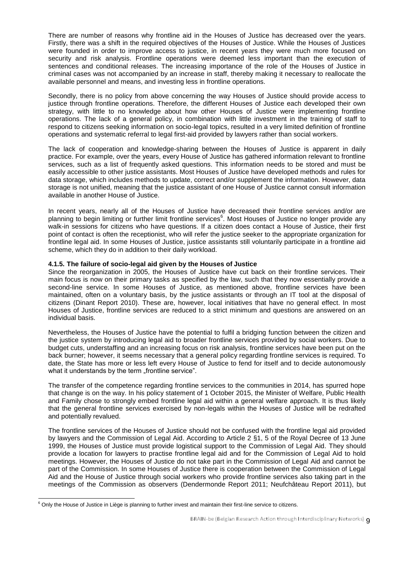There are number of reasons why frontline aid in the Houses of Justice has decreased over the years. Firstly, there was a shift in the required objectives of the Houses of Justice. While the Houses of Justices were founded in order to improve access to justice, in recent years they were much more focused on security and risk analysis. Frontline operations were deemed less important than the execution of sentences and conditional releases. The increasing importance of the role of the Houses of Justice in criminal cases was not accompanied by an increase in staff, thereby making it necessary to reallocate the available personnel and means, and investing less in frontline operations.

Secondly, there is no policy from above concerning the way Houses of Justice should provide access to justice through frontline operations. Therefore, the different Houses of Justice each developed their own strategy, with little to no knowledge about how other Houses of Justice were implementing frontline operations. The lack of a general policy, in combination with little investment in the training of staff to respond to citizens seeking information on socio-legal topics, resulted in a very limited definition of frontline operations and systematic referral to legal first-aid provided by lawyers rather than social workers.

The lack of cooperation and knowledge-sharing between the Houses of Justice is apparent in daily practice. For example, over the years, every House of Justice has gathered information relevant to frontline services, such as a list of frequently asked questions. This information needs to be stored and must be easily accessible to other justice assistants. Most Houses of Justice have developed methods and rules for data storage, which includes methods to update, correct and/or supplement the information. However, data storage is not unified, meaning that the justice assistant of one House of Justice cannot consult information available in another House of Justice.

In recent years, nearly all of the Houses of Justice have decreased their frontline services and/or are planning to begin limiting or further limit frontline services<sup>6</sup>. Most Houses of Justice no longer provide any walk-in sessions for citizens who have questions. If a citizen does contact a House of Justice, their first point of contact is often the receptionist, who will refer the justice seeker to the appropriate organization for frontline legal aid. In some Houses of Justice, justice assistants still voluntarily participate in a frontline aid scheme, which they do in addition to their daily workload.

### **4.1.5. The failure of socio-legal aid given by the Houses of Justice**

Since the reorganization in 2005, the Houses of Justice have cut back on their frontline services. Their main focus is now on their primary tasks as specified by the law, such that they now essentially provide a second-line service. In some Houses of Justice, as mentioned above, frontline services have been maintained, often on a voluntary basis, by the justice assistants or through an IT tool at the disposal of citizens (Dinant Report 2010). These are, however, local initiatives that have no general effect. In most Houses of Justice, frontline services are reduced to a strict minimum and questions are answered on an individual basis.

Nevertheless, the Houses of Justice have the potential to fulfil a bridging function between the citizen and the justice system by introducing legal aid to broader frontline services provided by social workers. Due to budget cuts, understaffing and an increasing focus on risk analysis, frontline services have been put on the back burner; however, it seems necessary that a general policy regarding frontline services is required. To date, the State has more or less left every House of Justice to fend for itself and to decide autonomously what it understands by the term "frontline service".

The transfer of the competence regarding frontline services to the communities in 2014, has spurred hope that change is on the way. In his policy statement of 1 October 2015, the Minister of Welfare, Public Health and Family chose to strongly embed frontline legal aid within a general welfare approach. It is thus likely that the general frontline services exercised by non-legals within the Houses of Justice will be redrafted and potentially revalued.

The frontline services of the Houses of Justice should not be confused with the frontline legal aid provided by lawyers and the Commission of Legal Aid. According to Article 2 §1, 5 of the Royal Decree of 13 June 1999, the Houses of Justice must provide logistical support to the Commission of Legal Aid. They should provide a location for lawyers to practise frontline legal aid and for the Commission of Legal Aid to hold meetings. However, the Houses of Justice do not take part in the Commission of Legal Aid and cannot be part of the Commission. In some Houses of Justice there is cooperation between the Commission of Legal Aid and the House of Justice through social workers who provide frontline services also taking part in the meetings of the Commission as observers (Dendermonde Report 2011; Neufchâteau Report 2011), but

<sup>-</sup> $6$  Only the House of Justice in Liège is planning to further invest and maintain their first-line service to citizens.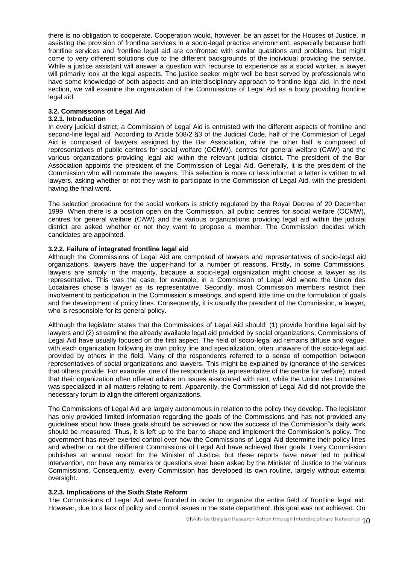there is no obligation to cooperate. Cooperation would, however, be an asset for the Houses of Justice, in assisting the provision of frontline services in a socio-legal practice environment, especially because both frontline services and frontline legal aid are confronted with similar questions and problems, but might come to very different solutions due to the different backgrounds of the individual providing the service. While a justice assistant will answer a question with recourse to experience as a social worker, a lawyer will primarily look at the legal aspects. The justice seeker might well be best served by professionals who have some knowledge of both aspects and an interdisciplinary approach to frontline legal aid. In the next section, we will examine the organization of the Commissions of Legal Aid as a body providing frontline legal aid.

# **3.2. Commissions of Legal Aid**

## **3.2.1. Introduction**

In every judicial district, a Commission of Legal Aid is entrusted with the different aspects of frontline and second-line legal aid. According to Article 508/2 §3 of the Judicial Code, half of the Commission of Legal Aid is composed of lawyers assigned by the Bar Association, while the other half is composed of representatives of public centres for social welfare (OCMW), centres for general welfare (CAW) and the various organizations providing legal aid within the relevant judicial district. The president of the Bar Association appoints the president of the Commission of Legal Aid. Generally, it is the president of the Commission who will nominate the lawyers. This selection is more or less informal: a letter is written to all lawyers, asking whether or not they wish to participate in the Commission of Legal Aid, with the president having the final word.

The selection procedure for the social workers is strictly regulated by the Royal Decree of 20 December 1999. When there is a position open on the Commission, all public centres for social welfare (OCMW), centres for general welfare (CAW) and the various organizations providing legal aid within the judicial district are asked whether or not they want to propose a member. The Commission decides which candidates are appointed.

### **3.2.2. Failure of integrated frontline legal aid**

Although the Commissions of Legal Aid are composed of lawyers and representatives of socio-legal aid organizations, lawyers have the upper-hand for a number of reasons. Firstly, in some Commissions, lawyers are simply in the majority, because a socio-legal organization might choose a lawyer as its representative. This was the case, for example, in a Commission of Legal Aid where the Union des Locataires chose a lawyer as its representative. Secondly, most Commission members restrict their involvement to participation in the Commission"s meetings, and spend little time on the formulation of goals and the development of policy lines. Consequently, it is usually the president of the Commission, a lawyer, who is responsible for its general policy.

Although the legislator states that the Commissions of Legal Aid should: (1) provide frontline legal aid by lawyers and (2) streamline the already available legal aid provided by social organizations, Commissions of Legal Aid have usually focused on the first aspect. The field of socio-legal aid remains diffuse and vague, with each organization following its own policy line and specialization, often unaware of the socio-legal aid provided by others in the field. Many of the respondents referred to a sense of competition between representatives of social organizations and lawyers. This might be explained by ignorance of the services that others provide. For example, one of the respondents (a representative of the centre for welfare), noted that their organization often offered advice on issues associated with rent, while the Union des Locataires was specialized in all matters relating to rent. Apparently, the Commission of Legal Aid did not provide the necessary forum to align the different organizations.

The Commissions of Legal Aid are largely autonomous in relation to the policy they develop. The legislator has only provided limited information regarding the goals of the Commissions and has not provided any guidelines about how these goals should be achieved or how the success of the Commission"s daily work should be measured. Thus, it is left up to the bar to shape and implement the Commission"s policy. The government has never exerted control over how the Commissions of Legal Aid determine their policy lines and whether or not the different Commissions of Legal Aid have achieved their goals. Every Commission publishes an annual report for the Minister of Justice, but these reports have never led to political intervention, nor have any remarks or questions ever been asked by the Minister of Justice to the various Commissions. Consequently, every Commission has developed its own routine, largely without external oversight.

### **3.2.3. Implications of the Sixth State Reform**

The Commissions of Legal Aid were founded in order to organize the entire field of frontline legal aid. However, due to a lack of policy and control issues in the state department, this goal was not achieved. On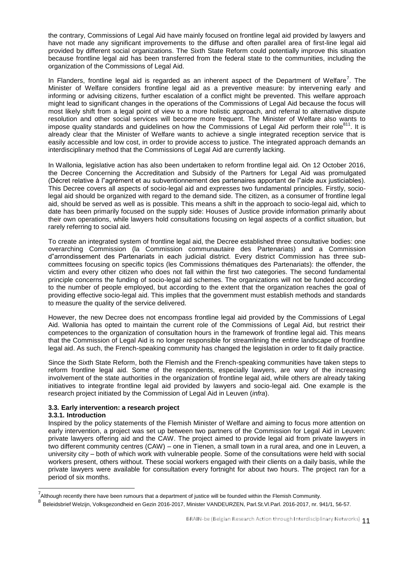the contrary, Commissions of Legal Aid have mainly focused on frontline legal aid provided by lawyers and have not made any significant improvements to the diffuse and often parallel area of first-line legal aid provided by different social organizations. The Sixth State Reform could potentially improve this situation because frontline legal aid has been transferred from the federal state to the communities, including the organization of the Commissions of Legal Aid.

In Flanders, frontline legal aid is regarded as an inherent aspect of the Department of Welfare<sup>7</sup>. The Minister of Welfare considers frontline legal aid as a preventive measure: by intervening early and informing or advising citizens, further escalation of a conflict might be prevented. This welfare approach might lead to significant changes in the operations of the Commissions of Legal Aid because the focus will most likely shift from a legal point of view to a more holistic approach, and referral to alternative dispute resolution and other social services will become more frequent. The Minister of Welfare also wants to impose quality standards and guidelines on how the Commissions of Legal Aid perform their role<sup>811</sup>. It is already clear that the Minister of Welfare wants to achieve a single integrated reception service that is easily accessible and low cost, in order to provide access to justice. The integrated approach demands an interdisciplinary method that the Commissions of Legal Aid are currently lacking.

In Wallonia, legislative action has also been undertaken to reform frontline legal aid. On 12 October 2016, the Decree Concerning the Accreditation and Subsidy of the Partners for Legal Aid was promulgated (Décret relative à l"agrément et au subventionnement des partenaires apportant de l"aide aux justiciables). This Decree covers all aspects of socio-legal aid and expresses two fundamental principles. Firstly, sociolegal aid should be organized with regard to the demand side. The citizen, as a consumer of frontline legal aid, should be served as well as is possible. This means a shift in the approach to socio-legal aid, which to date has been primarily focused on the supply side: Houses of Justice provide information primarily about their own operations, while lawyers hold consultations focusing on legal aspects of a conflict situation, but rarely referring to social aid.

To create an integrated system of frontline legal aid, the Decree established three consultative bodies: one overarching Commission (la Commission communautaire des Partenariats) and a Commission d"arrondissement des Partenariats in each judicial district*.* Every district Commission has three subcommittees focusing on specific topics (les Commissions thématiques des Partenariats): the offender, the victim and every other citizen who does not fall within the first two categories. The second fundamental principle concerns the funding of socio-legal aid schemes. The organizations will not be funded according to the number of people employed, but according to the extent that the organization reaches the goal of providing effective socio-legal aid. This implies that the government must establish methods and standards to measure the quality of the service delivered.

However, the new Decree does not encompass frontline legal aid provided by the Commissions of Legal Aid. Wallonia has opted to maintain the current role of the Commissions of Legal Aid, but restrict their competences to the organization of consultation hours in the framework of frontline legal aid. This means that the Commission of Legal Aid is no longer responsible for streamlining the entire landscape of frontline legal aid. As such, the French-speaking community has changed the legislation in order to fit daily practice.

Since the Sixth State Reform, both the Flemish and the French-speaking communities have taken steps to reform frontline legal aid. Some of the respondents, especially lawyers, are wary of the increasing involvement of the state authorities in the organization of frontline legal aid, while others are already taking initiatives to integrate frontline legal aid provided by lawyers and socio-legal aid. One example is the research project initiated by the Commission of Legal Aid in Leuven (*infra*).

## **3.3. Early intervention: a research project**

### **3.3.1. Introduction**

-

Inspired by the policy statements of the Flemish Minister of Welfare and aiming to focus more attention on early intervention, a project was set up between two partners of the Commission for Legal Aid in Leuven: private lawyers offering aid and the CAW. The project aimed to provide legal aid from private lawyers in two different community centres (CAW) – one in Tienen, a small town in a rural area, and one in Leuven, a university city – both of which work with vulnerable people. Some of the consultations were held with social workers present, others without. These social workers engaged with their clients on a daily basis, while the private lawyers were available for consultation every fortnight for about two hours. The project ran for a period of six months.

<sup>&</sup>lt;sup>7</sup> Although recently there have been rumours that a department of justice will be founded within the Flemish Community.

<sup>8</sup> Beleidsbrief Welzijn, Volksgezondheid en Gezin 2016-2017, Minister VANDEURZEN, Parl.St.Vl.Parl. 2016-2017, nr. 941/1, 56-57.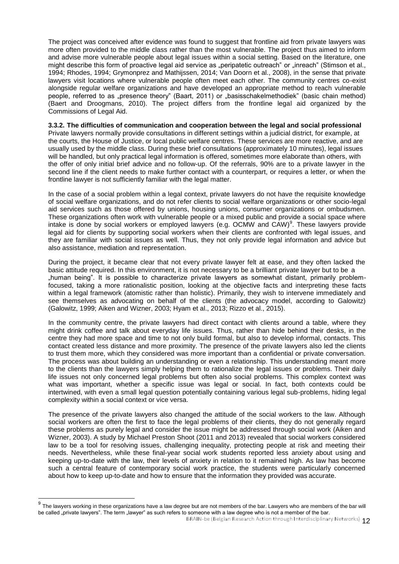The project was conceived after evidence was found to suggest that frontline aid from private lawyers was more often provided to the middle class rather than the most vulnerable. The project thus aimed to inform and advise more vulnerable people about legal issues within a social setting. Based on the literature, one might describe this form of proactive legal aid service as "peripatetic outreach" or "inreach" (Stimson et al., 1994; Rhodes, 1994; Grymonprez and Mathijssen, 2014; Van Doorn et al., 2008), in the sense that private lawyers visit locations where vulnerable people often meet each other. The community centres co-exist alongside regular welfare organizations and have developed an appropriate method to reach vulnerable people, referred to as "presence theory" (Baart, 2011) or "basisschakelmethodiek" (basic chain method) (Baert and Droogmans, 2010). The project differs from the frontline legal aid organized by the Commissions of Legal Aid.

### **3.3.2. The difficulties of communication and cooperation between the legal and social professional**

Private lawyers normally provide consultations in different settings within a judicial district, for example, at the courts, the House of Justice, or local public welfare centres. These services are more reactive, and are usually used by the middle class. During these brief consultations (approximately 10 minutes), legal issues will be handled, but only practical legal information is offered, sometimes more elaborate than others, with the offer of only initial brief advice and no follow-up. Of the referrals, 90% are to a private lawyer in the second line if the client needs to make further contact with a counterpart, or requires a letter, or when the frontline lawyer is not sufficiently familiar with the legal matter.

In the case of a social problem within a legal context, private lawyers do not have the requisite knowledge of social welfare organizations, and do not refer clients to social welfare organizations or other socio-legal aid services such as those offered by unions, housing unions, consumer organizations or ombudsmen. These organizations often work with vulnerable people or a mixed public and provide a social space where intake is done by social workers or employed lawyers (e.g. OCMW and CAW)<sup>9</sup>. These lawyers provide legal aid for clients by supporting social workers when their clients are confronted with legal issues, and they are familiar with social issues as well. Thus, they not only provide legal information and advice but also assistance, mediation and representation.

During the project, it became clear that not every private lawyer felt at ease, and they often lacked the basic attitude required. In this environment, it is not necessary to be a brilliant private lawyer but to be a "human being". It is possible to characterize private lawyers as somewhat distant, primarily problemfocused, taking a more rationalistic position, looking at the objective facts and interpreting these facts within a legal framework (atomistic rather than holistic). Primarily, they wish to intervene immediately and see themselves as advocating on behalf of the clients (the advocacy model, according to Galowitz) (Galowitz, 1999; Aiken and Wizner, 2003; Hyam et al., 2013; Rizzo et al., 2015).

In the community centre, the private lawyers had direct contact with clients around a table, where they might drink coffee and talk about everyday life issues. Thus, rather than hide behind their desks, in the centre they had more space and time to not only build formal, but also to develop informal, contacts. This contact created less distance and more proximity. The presence of the private lawyers also led the clients to trust them more, which they considered was more important than a confidential or private conversation. The process was about building an understanding or even a relationship. This understanding meant more to the clients than the lawyers simply helping them to rationalize the legal issues or problems. Their daily life issues not only concerned legal problems but often also social problems. This complex context was what was important, whether a specific issue was legal or social. In fact, both contexts could be intertwined, with even a small legal question potentially containing various legal sub-problems, hiding legal complexity within a social context or vice versa.

The presence of the private lawyers also changed the attitude of the social workers to the law. Although social workers are often the first to face the legal problems of their clients, they do not generally regard these problems as purely legal and consider the issue might be addressed through social work (Aiken and Wizner, 2003). A study by Michael Preston Shoot (2011 and 2013) revealed that social workers considered law to be a tool for resolving issues, challenging inequality, protecting people at risk and meeting their needs. Nevertheless, while these final-year social work students reported less anxiety about using and keeping up-to-date with the law, their levels of anxiety in relation to it remained high. As law has become such a central feature of contemporary social work practice, the students were particularly concerned about how to keep up-to-date and how to ensure that the information they provided was accurate.

 $\overline{\phantom{a}}$ 

 $^9$  The lawyers working in these organizations have a law degree but are not members of the bar. Lawyers who are members of the bar will be called "private lawyers". The term "lawyer" as such refers to someone with a law degree who is not a member of the bar.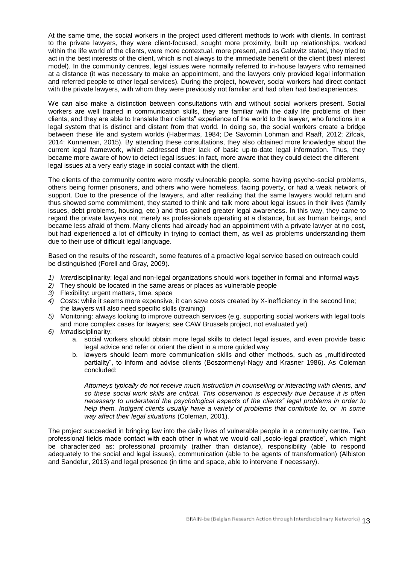At the same time, the social workers in the project used different methods to work with clients. In contrast to the private lawyers, they were client-focused, sought more proximity, built up relationships, worked within the life world of the clients, were more contextual, more present, and as Galowitz stated, they tried to act in the best interests of the client, which is not always to the immediate benefit of the client (best interest model). In the community centres, legal issues were normally referred to in-house lawyers who remained at a distance (it was necessary to make an appointment, and the lawyers only provided legal information and referred people to other legal services). During the project, however, social workers had direct contact with the private lawyers, with whom they were previously not familiar and had often had bad experiences.

We can also make a distinction between consultations with and without social workers present. Social workers are well trained in communication skills, they are familiar with the daily life problems of their clients, and they are able to translate their clients" experience of the world to the lawyer, who functions in a legal system that is distinct and distant from that world. In doing so, the social workers create a bridge between these life and system worlds (Habermas, 1984; De Savornin Lohman and Raaff, 2012; Zifcak, 2014; Kunneman, 2015). By attending these consultations, they also obtained more knowledge about the current legal framework, which addressed their lack of basic up-to-date legal information. Thus, they became more aware of how to detect legal issues; in fact, more aware that they could detect the different legal issues at a very early stage in social contact with the client.

The clients of the community centre were mostly vulnerable people, some having psycho-social problems, others being former prisoners, and others who were homeless, facing poverty, or had a weak network of support. Due to the presence of the lawyers, and after realizing that the same lawyers would return and thus showed some commitment, they started to think and talk more about legal issues in their lives (family issues, debt problems, housing, etc.) and thus gained greater legal awareness. In this way, they came to regard the private lawyers not merely as professionals operating at a distance, but as human beings, and became less afraid of them. Many clients had already had an appointment with a private lawyer at no cost, but had experienced a lot of difficulty in trying to contact them, as well as problems understanding them due to their use of difficult legal language.

Based on the results of the research, some features of a proactive legal service based on outreach could be distinguished (Forell and Gray, 2009).

- *1) Inter*disciplinarity: legal and non-legal organizations should work together in formal and informal ways
- *2)* They should be located in the same areas or places as vulnerable people
- *3)* Flexibility: urgent matters, time, space
- *4)* Costs: while it seems more expensive, it can save costs created by X-inefficiency in the second line; the lawyers will also need specific skills (training)
- *5)* Monitoring: always looking to improve outreach services (e.g. supporting social workers with legal tools and more complex cases for lawyers; see CAW Brussels project, not evaluated yet)
- *6) Intra*disciplinarity:
	- a. social workers should obtain more legal skills to detect legal issues, and even provide basic legal advice and refer or orient the client in a more guided way
	- b. lawyers should learn more communication skills and other methods, such as "multidirected partiality", to inform and advise clients (Boszormenyi-Nagy and Krasner 1986). As Coleman concluded:

*Attorneys typically do not receive much instruction in counselling or interacting with clients, and so these social work skills are critical. This observation is especially true because it is often necessary to understand the psychological aspects of the clients" legal problems in order to help them. Indigent clients usually have a variety of problems that contribute to, or in some way affect their legal situations* (Coleman, 2001).

The project succeeded in bringing law into the daily lives of vulnerable people in a community centre. Two professional fields made contact with each other in what we would call "socio-legal practice", which might be characterized as: professional proximity (rather than distance), responsibility (able to respond adequately to the social and legal issues), communication (able to be agents of transformation) (Albiston and Sandefur, 2013) and legal presence (in time and space, able to intervene if necessary).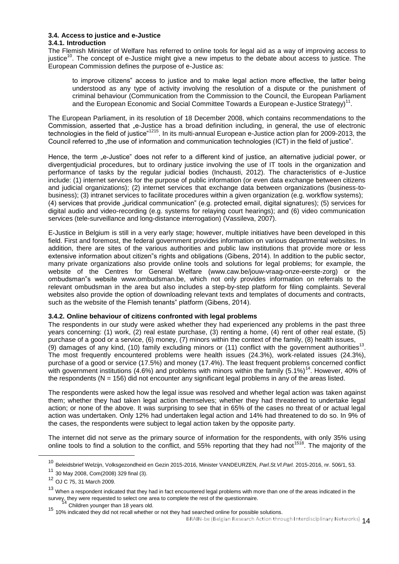## **3.4. Access to justice and e-Justice**

### **3.4.1. Introduction**

The Flemish Minister of Welfare has referred to online tools for legal aid as a way of improving access to justice<sup>10</sup>. The concept of e-Justice might give a new impetus to the debate about access to justice. The European Commission defines the purpose of e-Justice as:

to improve citizens" access to justice and to make legal action more effective, the latter being understood as any type of activity involving the resolution of a dispute or the punishment of criminal behaviour (Communication from the Commission to the Council, the European Parliament and the European Economic and Social Committee Towards a European e-Justice Strategy)<sup>11</sup>.

The European Parliament, in its resolution of 18 December 2008, which contains recommendations to the Commission, asserted that "e-Justice has a broad definition including, in general, the use of electronic technologies in the field of justice"<sup>1215</sup>. In its multi-annual European e-Justice action plan for 2009-2013, the Council referred to "the use of information and communication technologies (ICT) in the field of justice".

Hence, the term "e-Justice" does not refer to a different kind of justice, an alternative judicial power, or divergentjudicial procedures, but to ordinary justice involving the use of IT tools in the organization and performance of tasks by the regular judicial bodies (Inchausti, 2012). The characteristics of e-Justice include: (1) internet services for the purpose of public information (or even data exchange between citizens and judicial organizations); (2) internet services that exchange data between organizations (business-tobusiness); (3) intranet services to facilitate procedures within a given organization (e.g. workflow systems); (4) services that provide "juridical communication" (e.g. protected email, digital signatures); (5) services for digital audio and video-recording (e.g. systems for relaying court hearings); and (6) video communication services (tele-surveillance and long-distance interrogation) (Vassileva, 2007).

E-Justice in Belgium is still in a very early stage; however, multiple initiatives have been developed in this field. First and foremost, the federal government provides information on various departmental websites. In addition, there are sites of the various authorities and public law institutions that provide more or less extensive information about citizen"s rights and obligations (Gibens, 2014). In addition to the public sector, many private organizations also provide online tools and solutions for legal problems; for example, the website of the Centres for General Welfare [\(www.caw.be/jouw-vraag-onze-eerste-zorg\)](http://www.caw.be/jouw-vraag-onze-eerste-zorg)) or the ombudsman"s website [www.ombudsman.be,](http://www.ombudsman.be/) which not only provides information on referrals to the relevant ombudsman in the area but also includes a step-by-step platform for filing complaints. Several websites also provide the option of downloading relevant texts and templates of documents and contracts, such as the website of the Flemish tenants" platform (Gibens, 2014).

### **3.4.2. Online behaviour of citizens confronted with legal problems**

The respondents in our study were asked whether they had experienced any problems in the past three years concerning: (1) work, (2) real estate purchase, (3) renting a home, (4) rent of other real estate, (5) purchase of a good or a service, (6) money, (7) minors within the context of the family, (8) health issues, (9) damages of any kind, (10) family excluding minors or (11) conflict with the government authorities<sup>13</sup>. The most frequently encountered problems were health issues (24.3%), work-related issues (24.3%), purchase of a good or service (17.5%) and money (17.4%). The least frequent problems concerned conflict with government institutions (4.6%) and problems with minors within the family (5.1%)<sup>14</sup>. However, 40% of the respondents  $(N = 156)$  did not encounter any significant legal problems in any of the areas listed.

The respondents were asked how the legal issue was resolved and whether legal action was taken against them; whether they had taken legal action themselves; whether they had threatened to undertake legal action; or none of the above. It was surprising to see that in 65% of the cases no threat of or actual legal action was undertaken. Only 12% had undertaken legal action and 14% had threatened to do so. In 9% of the cases, the respondents were subject to legal action taken by the opposite party.

The internet did not serve as the primary source of information for the respondents, with only 35% using online tools to find a solution to the conflict, and 55% reporting that they had not<sup>1518</sup>. The majority of the

-

<sup>10</sup> Beleidsbrief Welzijn, Volksgezondheid en Gezin 2015-2016, Minister VANDEURZEN, *Parl.St.Vl.Parl.* 2015-2016, nr. 506/1, 53.

<sup>11</sup> 30 May 2008, Com(2008) 329 final (3).

<sup>12</sup> OJ C 75, 31 March 2009.

<sup>&</sup>lt;sup>13</sup> When a respondent indicated that they had in fact encountered legal problems with more than one of the areas indicated in the survey, they were requested to select one area to complete the rest of the questionnaire.

<sup>&</sup>lt;sup>+</sup> Children younger than 18 years old.

<sup>15 10%</sup> indicated they did not recall whether or not they had searched online for possible solutions.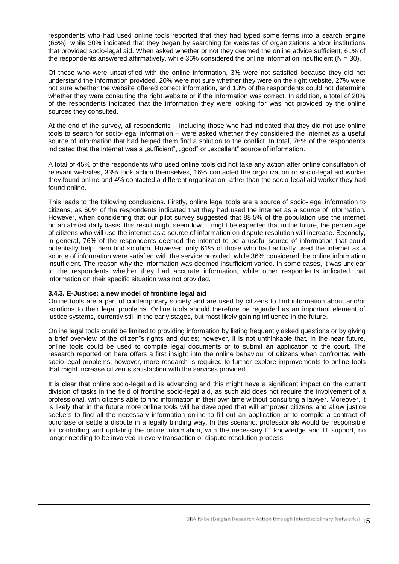respondents who had used online tools reported that they had typed some terms into a search engine (66%), while 30% indicated that they began by searching for websites of organizations and/or institutions that provided socio-legal aid. When asked whether or not they deemed the online advice sufficient, 61% of the respondents answered affirmatively, while  $36\%$  considered the online information insufficient ( $N = 30$ ).

Of those who were unsatisfied with the online information, 3% were not satisfied because they did not understand the information provided, 20% were not sure whether they were on the right website, 27% were not sure whether the website offered correct information, and 13% of the respondents could not determine whether they were consulting the right website or if the information was correct. In addition, a total of 20% of the respondents indicated that the information they were looking for was not provided by the online sources they consulted.

At the end of the survey, all respondents – including those who had indicated that they did not use online tools to search for socio-legal information – were asked whether they considered the internet as a useful source of information that had helped them find a solution to the conflict. In total, 76% of the respondents indicated that the internet was a "sufficient", "good" or "excellent" source of information.

A total of 45% of the respondents who used online tools did not take any action after online consultation of relevant websites, 33% took action themselves, 16% contacted the organization or socio-legal aid worker they found online and 4% contacted a different organization rather than the socio-legal aid worker they had found online.

This leads to the following conclusions. Firstly, online legal tools are a source of socio-legal information to citizens, as 60% of the respondents indicated that they had used the internet as a source of information. However, when considering that our pilot survey suggested that 88.5% of the population use the internet on an almost daily basis, this result might seem low. It might be expected that in the future, the percentage of citizens who will use the internet as a source of information on dispute resolution will increase. Secondly, in general, 76% of the respondents deemed the internet to be a useful source of information that could potentially help them find solution. However, only 61% of those who had actually used the internet as a source of information were satisfied with the service provided, while 36% considered the online information insufficient. The reason why the information was deemed insufficient varied. In some cases, it was unclear to the respondents whether they had accurate information, while other respondents indicated that information on their specific situation was not provided.

### **3.4.3. E-Justice: a new model of frontline legal aid**

-

Online tools are a part of contemporary society and are used by citizens to find information about and/or solutions to their legal problems. Online tools should therefore be regarded as an important element of justice systems, currently still in the early stages, but most likely gaining influence in the future.

Online legal tools could be limited to providing information by listing frequently asked questions or by giving a brief overview of the citizen"s rights and duties; however, it is not unthinkable that, in the near future, online tools could be used to compile legal documents or to submit an application to the court. The research reported on here offers a first insight into the online behaviour of citizens when confronted with socio-legal problems; however, more research is required to further explore improvements to online tools that might increase citizen"s satisfaction with the services provided.

It is clear that online socio-legal aid is advancing and this might have a significant impact on the current division of tasks in the field of frontline socio-legal aid, as such aid does not require the involvement of a professional, with citizens able to find information in their own time without consulting a lawyer. Moreover, it is likely that in the future more online tools will be developed that will empower citizens and allow justice seekers to find all the necessary information online to fill out an application or to compile a contract of purchase or settle a dispute in a legally binding way. In this scenario, professionals would be responsible for controlling and updating the online information, with the necessary IT knowledge and IT support, no longer needing to be involved in every transaction or dispute resolution process.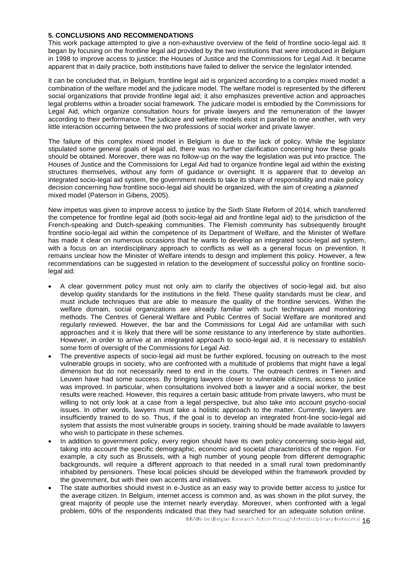### **5. CONCLUSIONS AND RECOMMENDATIONS**

This work package attempted to give a non-exhaustive overview of the field of frontline socio-legal aid. It began by focusing on the frontline legal aid provided by the two institutions that were introduced in Belgium in 1998 to improve access to justice: the Houses of Justice and the Commissions for Legal Aid. It became apparent that in daily practice, both institutions have failed to deliver the service the legislator intended.

It can be concluded that, in Belgium, frontline legal aid is organized according to a complex mixed model: a combination of the welfare model and the judicare model. The welfare model is represented by the different social organizations that provide frontline legal aid; it also emphasizes preventive action and approaches legal problems within a broader social framework. The judicare model is embodied by the Commissions for Legal Aid, which organize consultation hours for private lawyers and the remuneration of the lawyer according to their performance. The judicare and welfare models exist in parallel to one another, with very little interaction occurring between the two professions of social worker and private lawyer.

The failure of this complex mixed model in Belgium is due to the lack of policy. While the legislator stipulated some general goals of legal aid, there was no further clarification concerning how these goals should be obtained. Moreover, there was no follow-up on the way the legislation was put into practice. The Houses of Justice and the Commissions for Legal Aid had to organize frontline legal aid within the existing structures themselves, without any form of guidance or oversight. It is apparent that to develop an integrated socio-legal aid system, the government needs to take its share of responsibility and make policy decision concerning how frontline socio-legal aid should be organized, with the aim of creating a *planned* mixed model (Paterson in Gibens, 2005).

New impetus was given to improve access to justice by the Sixth State Reform of 2014, which transferred the competence for frontline legal aid (both socio-legal aid and frontline legal aid) to the jurisdiction of the French-speaking and Dutch-speaking communities. The Flemish community has subsequently brought frontline socio-legal aid within the competence of its Department of Welfare, and the Minister of Welfare has made it clear on numerous occasions that he wants to develop an integrated socio-legal aid system, with a focus on an interdisciplinary approach to conflicts as well as a general focus on prevention. It remains unclear how the Minister of Welfare intends to design and implement this policy. However, a few recommendations can be suggested in relation to the development of successful policy on frontline sociolegal aid:

- A clear government policy must not only aim to clarify the objectives of socio-legal aid, but also develop quality standards for the institutions in the field. These quality standards must be clear, and must include techniques that are able to measure the quality of the frontline services. Within the welfare domain, social organizations are already familiar with such techniques and monitoring methods. The Centres of General Welfare and Public Centres of Social Welfare are monitored and regularly reviewed. However, the bar and the Commissions for Legal Aid are unfamiliar with such approaches and it is likely that there will be some resistance to any interference by state authorities. However, in order to arrive at an integrated approach to socio-legal aid, it is necessary to establish some form of oversight of the Commissions for Legal Aid.
- The preventive aspects of socio-legal aid must be further explored, focusing on outreach to the most vulnerable groups in society, who are confronted with a multitude of problems that might have a legal dimension but do not necessarily need to end in the courts. The outreach centres in Tienen and Leuven have had some success. By bringing lawyers closer to vulnerable citizens, access to justice was improved. In particular, when consultations involved both a lawyer and a social worker, the best results were reached. However, this requires a certain basic attitude from private lawyers, who must be willing to not only look at a case from a legal perspective, but also take into account psycho-social issues. In other words, lawyers must take a holistic approach to the matter. Currently, lawyers are insufficiently trained to do so. Thus, if the goal is to develop an integrated front-line socio-legal aid system that assists the most vulnerable groups in society, training should be made available to lawyers who wish to participate in these schemes.
- In addition to government policy, every region should have its own policy concerning socio-legal aid, taking into account the specific demographic, economic and societal characteristics of the region. For example, a city such as Brussels, with a high number of young people from different demographic backgrounds, will require a different approach to that needed in a small rural town predominantly inhabited by pensioners. These local policies should be developed within the framework provided by the government, but with their own accents and initiatives.
- The state authorities should invest in e-Justice as an easy way to provide better access to justice for the average citizen. In Belgium, internet access is common and, as was shown in the pilot survey, the great majority of people use the internet nearly everyday. Moreover, when confronted with a legal problem, 60% of the respondents indicated that they had searched for an adequate solution online.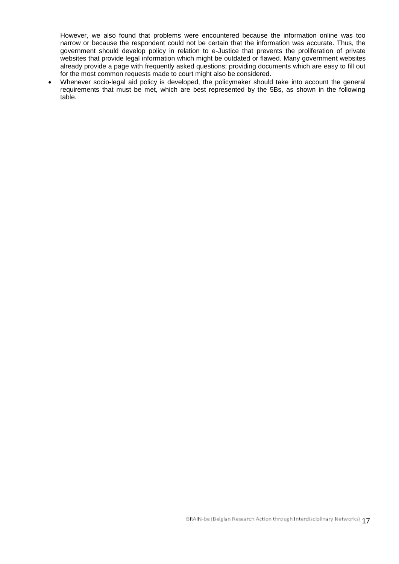However, we also found that problems were encountered because the information online was too narrow or because the respondent could not be certain that the information was accurate. Thus, the government should develop policy in relation to e-Justice that prevents the proliferation of private websites that provide legal information which might be outdated or flawed. Many government websites already provide a page with frequently asked questions; providing documents which are easy to fill out for the most common requests made to court might also be considered.

 Whenever socio-legal aid policy is developed, the policymaker should take into account the general requirements that must be met, which are best represented by the 5Bs, as shown in the following table.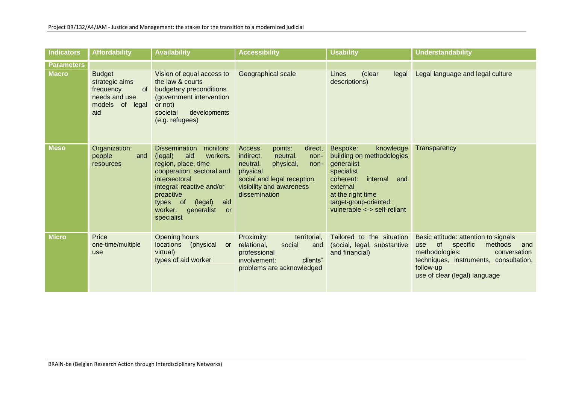| <b>Indicators</b> | <b>Affordability</b>                                                                          | <b>Availability</b>                                                                                                                                                                                                                                       | <b>Accessibility</b>                                                                                                                                                                         | <b>Usability</b>                                                                                                                                                                                         | <b>Understandability</b>                                                                                                                                                                                      |
|-------------------|-----------------------------------------------------------------------------------------------|-----------------------------------------------------------------------------------------------------------------------------------------------------------------------------------------------------------------------------------------------------------|----------------------------------------------------------------------------------------------------------------------------------------------------------------------------------------------|----------------------------------------------------------------------------------------------------------------------------------------------------------------------------------------------------------|---------------------------------------------------------------------------------------------------------------------------------------------------------------------------------------------------------------|
| <b>Parameters</b> |                                                                                               |                                                                                                                                                                                                                                                           |                                                                                                                                                                                              |                                                                                                                                                                                                          |                                                                                                                                                                                                               |
| <b>Macro</b>      | <b>Budget</b><br>strategic aims<br>frequency<br>0f<br>needs and use<br>models of legal<br>aid | Vision of equal access to<br>the law & courts<br>budgetary preconditions<br>(government intervention<br>or not)<br>developments<br>societal<br>(e.g. refugees)                                                                                            | Geographical scale                                                                                                                                                                           | (clear<br>Lines<br>legal<br>descriptions)                                                                                                                                                                | Legal language and legal culture                                                                                                                                                                              |
| <b>Meso</b>       | Organization:<br>people<br>and<br>resources                                                   | <b>Dissemination</b><br>monitors:<br>(legal)<br>workers,<br>aid<br>region, place, time<br>cooperation: sectoral and<br>intersectoral<br>integral: reactive and/or<br>proactive<br>types of<br>(legal)<br>aid<br>worker:<br>generalist<br>or<br>specialist | points:<br><b>Access</b><br>direct,<br>indirect,<br>neutral,<br>non-<br>neutral,<br>physical,<br>non-<br>physical<br>social and legal reception<br>visibility and awareness<br>dissemination | Bespoke:<br>knowledge<br>building on methodologies<br>generalist<br>specialist<br>internal<br>coherent:<br>and<br>external<br>at the right time<br>target-group-oriented:<br>vulnerable <-> self-reliant | Transparency                                                                                                                                                                                                  |
| <b>Micro</b>      | Price<br>one-time/multiple<br>use                                                             | Opening hours<br>locations<br>(physical<br>or<br>virtual)<br>types of aid worker                                                                                                                                                                          | Proximity:<br>territorial,<br>relational,<br>social<br>and<br>professional<br>clients"<br>involvement:<br>problems are acknowledged                                                          | Tailored to the situation<br>(social, legal, substantive<br>and financial)                                                                                                                               | Basic attitude: attention to signals<br>of specific<br>methods<br>and<br><b>use</b><br>methodologies:<br>conversation<br>techniques, instruments, consultation,<br>follow-up<br>use of clear (legal) language |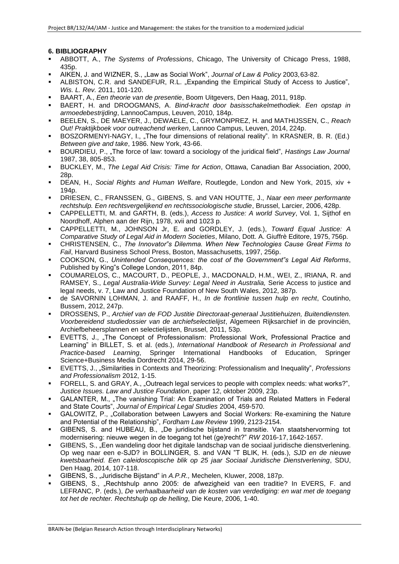# **6. BIBLIOGRAPHY**

- ABBOTT, A., *The Systems of Professions*, Chicago, The University of Chicago Press, 1988, 435p.
- AIKEN, J. and WIZNER, S., "Law as Social Work", *Journal of Law & Policy* 2003,63-82.
- ALBISTON, C.R. and SANDEFUR, R.L. "Expanding the Empirical Study of Access to Justice", *Wis. L. Rev.* 2011, 101-120.
- BAART, A., *Een theorie van de presentie*, Boom Uitgevers, Den Haag, 2011, 918p.
- BAERT, H. and DROOGMANS, A. *Bind-kracht door basisschakelmethodiek. Een opstap in armoedebestrijding*, LannooCampus, Leuven, 2010, 184p.
- BEELEN, S., DE MAEYER, J., DEWAELE, C., GRYMONPREZ, H. and MATHIJSSEN, C., *Reach Out! Praktijkboek voor outreachend werken*, Lannoo Campus, Leuven, 2014, 224p.
- BOSZORMENYI-NAGY, I., "The four dimensions of relational reality". In KRASNER, B. R. (Ed.) *Between give and take*, 1986. New York, 43-66.
- BOURDIEU, P., "The force of law: toward a sociology of the juridical field", *Hastings Law Journal* 1987, 38, 805-853.
- BUCKLEY, M., *The Legal Aid Crisis: Time for Action*, Ottawa, Canadian Bar Association, 2000, 28p.
- DEAN, H., *Social Rights and Human Welfare*, Routlegde, London and New York, 2015, xiv + 194p.
- DRIESEN, C., FRANSSEN, G., GIBENS, S. and VAN HOUTTE, J., *Naar een meer performante rechtshulp. Een rechtsvergelijkend en rechtssociologische studie*, Brussel, Larcier, 2006, 428p.
- CAPPELLETTI, M. and GARTH, B. (eds.), *Access to Justice: A world Survey*, Vol. 1, Sijthof en Noordhoff, Alphen aan der Rijn, 1978, xvii and 1023 p.
- CAPPELLETTI, M., JOHNSON Jr, E. and GORDLEY, J. (eds.), *Toward Equal Justice: A Comparative Study of Legal Aid in Modern Societies*, Milano, Dott. A. Giuffrè Editore, 1975, 756p.
- CHRISTENSEN, C., *The Innovator"s Dilemma. When New Technologies Cause Great Firms to Fail*, Harvard Business School Press, Boston, Massachusetts, 1997, 256p.
- COOKSON, G., *Unintended Consequences: the cost of the Government"s Legal Aid Reforms*, Published by King"s College London, 2011, 84p.
- COUMARELOS, C., MACOURT, D., PEOPLE, J., MACDONALD, H.M., WEI, Z., IRIANA, R. and RAMSEY, S., *Legal Australia-Wide Survey: Legal Need in Australia,* Serie Access to justice and legal needs, v. 7, Law and Justice Foundation of New South Wales, 2012, 387p.
- de SAVORNIN LOHMAN, J. and RAAFF, H., *In de frontlinie tussen hulp en recht*, Coutinho, Bussem, 2012, 247p.
- DROSSENS, P., *Archief van de FOD Justitie Directoraat-generaal Justitiehuizen, Buitendiensten. Voorbereidend studiedossier van de archiefselectielijst*, Algemeen Rijksarchief in de provinciën, Archiefbeheersplannen en selectielijsten, Brussel, 2011, 53p.
- EVETTS, J., "The Concept of Professionalism: Professional Work, Professional Practice and Learning" in BILLET, S. et al. (eds.), *International Handbook of Research in Professional and Practice-based Learning*, Springer International Handbooks of Education, Springer Science+Business Media Dordrecht 2014, 29-56.
- EVETTS, J., "Similarities in Contexts and Theorizing: Professionalism and Inequality", *Professions and Professionalism* 2012, 1-15.
- FORELL, S. and GRAY, A., "Outreach legal services to people with complex needs: what works?", *Justice Issues. Law and Justice Foundation*, paper 12, oktober 2009, 23p.
- GALANTER, M., "The vanishing Trial: An Examination of Trials and Related Matters in Federal and State Courts", *Journal of Empirical Legal Studies* 2004, 459-570.
- GALOWITZ, P., "Collaboration between Lawyers and Social Workers: Re-examining the Nature and Potential of the Relationship", *Fordham Law Review* 1999, 2123-2154.
- GIBENS, S. and HUBEAU, B., "De juridische bijstand in transitie. Van staatshervorming tot modernisering: nieuwe wegen in de toegang tot het (ge)recht?" *RW* 2016-17, 1642-1657.
- GIBENS, S., "Een wandeling door het digitale landschap van de sociaal juridische dienstverlening. Op weg naar een e-SJD? in BOLLINGER, S. and VAN "T BLIK, H. (eds.), *SJD en de nieuwe kwetsbaarheid. Een caleidoscopische blik op 25 jaar Sociaal Juridische Dienstverlening*, SDU, Den Haag, 2014, 107-118.
- GIBENS, S., "Juridische Bijstand" in *A.P.R.,* Mechelen, Kluwer, 2008, 187p.
- GIBENS, S., "Rechtshulp anno 2005: de afwezigheid van een traditie? In EVERS, F. and LEFRANC, P. (eds.), *De verhaalbaarheid van de kosten van verdediging: en wat met de toegang tot het de rechter. Rechtshulp op de helling*, Die Keure, 2006, 1-40.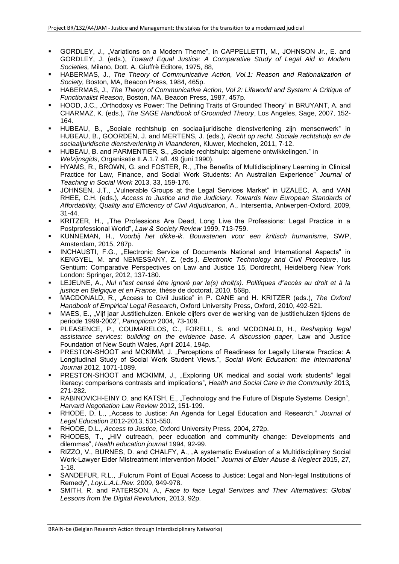- GORDLEY, J., "Variations on a Modern Theme", in CAPPELLETTI, M., JOHNSON Jr., E. and GORDLEY, J. (eds.), *Toward Equal Justice: A Comparative Study of Legal Aid in Modern Societies,* Milano, Dott. A. Giuffrè Editore, 1975, 88,
- HABERMAS, J., *The Theory of Communicative Action, Vol.1: Reason and Rationalization of Society,* Boston, MA, Beacon Press, 1984, 465p.
- HABERMAS, J., *The Theory of Communicative Action, Vol 2: Lifeworld and System: A Critique of Functionalist Reason*, Boston, MA, Beacon Press, 1987, 457p.
- HOOD, J.C., "Orthodoxy vs Power: The Defining Traits of Grounded Theory" in BRUYANT, A. and CHARMAZ, K. (eds.), *The SAGE Handbook of Grounded Theory*, Los Angeles, Sage, 2007, 152- 164.
- HUBEAU, B., "Sociale rechtshulp en sociaaljuridische dienstverlening zijn mensenwerk" in HUBEAU, B., GOORDEN, J. and MERTENS, J. (eds.), *Recht op recht. Sociale rechtshulp en de sociaaljuridische dienstverlening in Vlaanderen*, Kluwer, Mechelen, 2011, 7-12.
- HUBEAU, B. and PARMENTIER, S., "Sociale rechtshulp: algemene ontwikkelingen." in *Welzijnsgids*, Organisatie II.A.1.7 afl. 49 (juni 1990).
- HYAMS, R., BROWN, G. and FOSTER, R., "The Benefits of Multidisciplinary Learning in Clinical Practice for Law, Finance, and Social Work Students: An Australian Experience" *Journal of Teaching in Social Work* 2013, 33, 159-176.
- JOHNSEN, J.T., "Vulnerable Groups at the Legal Services Market" in UZALEC, A. and VAN RHEE, C.H. (eds.), *Access to Justice and the Judiciary. Towards New European Standards of Affordability, Quality and Efficiency of Civil Adjudication*, A., Intersentia, Antwerpen-Oxford, 2009, 31-44.
- KRITZER, H., "The Professions Are Dead, Long Live the Professions: Legal Practice in a Postprofessional World", *Law & Society Review* 1999, 713-759.
- KUNNEMAN, H., *Voorbij het dikke-ik. Bouwstenen voor een kritisch humanisme*, SWP, Amsterdam, 2015, 287p.
- INCHAUSTI, F.G., "Electronic Service of Documents National and International Aspects" in KENGYEL, M. and NEMESSANY, Z. (eds*.), Electronic Technology and Civil Procedure*, Ius Gentium: Comparative Perspectives on Law and Justice 15, Dordrecht, Heidelberg New York London: Springer, 2012, 137-180.
- LEJEUNE, A., *Nul n"est censé être ignoré par le(s) droit(s). Politiques d"accès au droit et à la justice en Belgique et en France*, thèse de doctorat, 2010, 568p.
- MACDONALD, R., "Access to Civil Justice" in P. CANE and H. KRITZER (eds.), *The Oxford Handbook of Empirical Legal Research*, Oxford University Press, Oxford, 2010, 492-521.
- MAES, E., "Vijf jaar Justitiehuizen. Enkele cijfers over de werking van de justitiehuizen tijdens de periode 1999-2002", *Panopticon* 2004, 73-109.
- PLEASENCE, P., COUMARELOS, C., FORELL, S. and MCDONALD, H., *Reshaping legal assistance services: building on the evidence base. A discussion paper*, Law and Justice Foundation of New South Wales, April 2014, 194p.
- PRESTON-SHOOT and MCKIMM, J. "Perceptions of Readiness for Legally Literate Practice: A Longitudinal Study of Social Work Student Views.", *Social Work Education: the International Journal* 2012, 1071-1089.
- PRESTON-SHOOT and MCKIMM, J., "Exploring UK medical and social work students" legal literacy: comparisons contrasts and implications", *Health and Social Care in the Community* 2013*,*  271-282.
- RABINOVICH-EINY O. and KATSH, E., "Technology and the Future of Dispute Systems Design", *Harvard Negotiation Law Review* 2012, 151-199.
- RHODE, D. L., "Access to Justice: An Agenda for Legal Education and Research." *Journal of Legal Education* 2012-2013, 531-550.
- RHODE, D.L., *Access to Justice*, Oxford University Press, 2004, 272p.
- RHODES, T., "HIV outreach, peer education and community change: Developments and dilemmas", *Health education journal* 1994, 92-99.
- RIZZO, V., BURNES, D. and CHALFY, A., "A systematic Evaluation of a Multidisciplinary Social Work-Lawyer Elder Mistreatment Intervention Model." *Journal of Elder Abuse & Neglect* 2015, 27, 1-18.
- SANDEFUR, R.L., "Fulcrum Point of Equal Access to Justice: Legal and Non-legal Institutions of Remedy", *Loy.L.A.L.Rev.* 2009, 949-978.
- SMITH, R. and PATERSON, A., *Face to face Legal Services and Their Alternatives: Global Lessons from the Digital Revolution*, 2013, 92p.